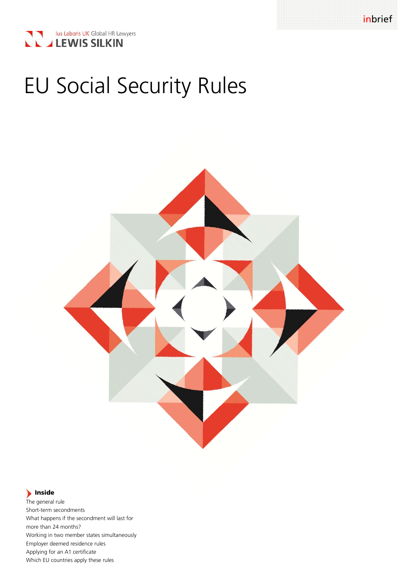

# EU Social Security Rules



# **Inside**

The general rule Short-term secondments What happens if the secondment will last for more than 24 months? Working in two member states simultaneously Employer deemed residence rules Applying for an A1 certificate Which EU countries apply these rules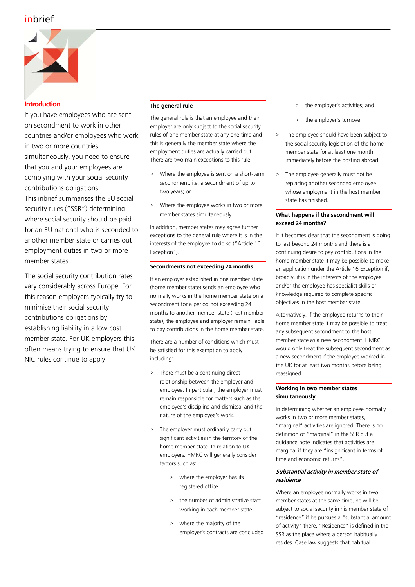# inbrief



# **Introduction**

If you have employees who are sent on secondment to work in other countries and/or employees who work in two or more countries simultaneously, you need to ensure that you and your employees are complying with your social security contributions obligations. This inbrief summarises the EU social security rules ("SSR") determining where social security should be paid for an EU national who is seconded to another member state or carries out employment duties in two or more member states.

The social security contribution rates vary considerably across Europe. For this reason employers typically try to minimise their social security contributions obligations by establishing liability in a low cost member state. For UK employers this often means trying to ensure that UK NIC rules continue to apply.

# **The general rule**

The general rule is that an employee and their employer are only subject to the social security rules of one member state at any one time and this is generally the member state where the employment duties are actually carried out. There are two main exceptions to this rule:

- > Where the employee is sent on a short-term secondment, i.e. a secondment of up to two years; or
- Where the employee works in two or more member states simultaneously.

In addition, member states may agree further exceptions to the general rule where it is in the interests of the employee to do so ("Article 16 Exception").

# **Secondments not exceeding 24 months**

If an employer established in one member state (home member state) sends an employee who normally works in the home member state on a secondment for a period not exceeding 24 months to another member state (host member state), the employee and employer remain liable to pay contributions in the home member state.

There are a number of conditions which must be satisfied for this exemption to apply including:

- > There must be a continuing direct relationship between the employer and employee. In particular, the employer must remain responsible for matters such as the employee's discipline and dismissal and the nature of the employee's work.
- > The employer must ordinarily carry out significant activities in the territory of the home member state. In relation to UK employers, HMRC will generally consider factors such as:
	- > where the employer has its registered office
	- > the number of administrative staff working in each member state
	- > where the majority of the employer's contracts are concluded
- > the employer's activities; and
- > the employer's turnover
- > The employee should have been subject to the social security legislation of the home member state for at least one month immediately before the posting abroad.
- > The employee generally must not be replacing another seconded employee whose employment in the host member state has finished.

## **What happens if the secondment will exceed 24 months?**

If it becomes clear that the secondment is going to last beyond 24 months and there is a continuing desire to pay contributions in the home member state it may be possible to make an application under the Article 16 Exception if, broadly, it is in the interests of the employee and/or the employee has specialist skills or knowledge required to complete specific objectives in the host member state.

Alternatively, if the employee returns to their home member state it may be possible to treat any subsequent secondment to the host member state as a new secondment. HMRC would only treat the subsequent secondment as a new secondment if the employee worked in the UK for at least two months before being reassigned.

# **Working in two member states simultaneously**

In determining whether an employee normally works in two or more member states. "marginal" activities are ignored. There is no definition of "marginal" in the SSR but a guidance note indicates that activities are marginal if they are "insignificant in terms of time and economic returns".

# **Substantial activity in member state of residence**

Where an employee normally works in two member states at the same time, he will be subject to social security in his member state of "residence" if he pursues a "substantial amount of activity" there. "Residence" is defined in the SSR as the place where a person habitually resides. Case law suggests that habitual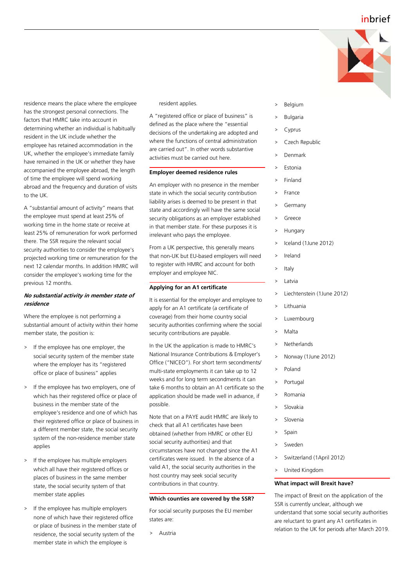# inbrief



residence means the place where the employee has the strongest personal connections. The factors that HMRC take into account in determining whether an individual is habitually resident in the UK include whether the employee has retained accommodation in the UK, whether the employee's immediate family have remained in the UK or whether they have accompanied the employee abroad, the length of time the employee will spend working abroad and the frequency and duration of visits to the UK.

A "substantial amount of activity" means that the employee must spend at least 25% of working time in the home state or receive at least 25% of remuneration for work performed there. The SSR require the relevant social security authorities to consider the employee's projected working time or remuneration for the next 12 calendar months. In addition HMRC will consider the employee's working time for the previous 12 months.

## **No substantial activity in member state of residence**

Where the employee is not performing a substantial amount of activity within their home member state, the position is:

- > If the employee has one employer, the social security system of the member state where the employer has its "registered office or place of business" applies
- > If the employee has two employers, one of which has their registered office or place of business in the member state of the employee's residence and one of which has their registered office or place of business in a different member state, the social security system of the non-residence member state applies
- If the employee has multiple employers which all have their registered offices or places of business in the same member state, the social security system of that member state applies
- If the employee has multiple employers none of which have their registered office or place of business in the member state of residence, the social security system of the member state in which the employee is

resident applies.

A "registered office or place of business" is defined as the place where the "essential decisions of the undertaking are adopted and where the functions of central administration are carried out". In other words substantive activities must be carried out here.

#### **Employer deemed residence rules**

An employer with no presence in the member state in which the social security contribution liability arises is deemed to be present in that state and accordingly will have the same social security obligations as an employer established in that member state. For these purposes it is irrelevant who pays the employee.

From a UK perspective, this generally means that non-UK but EU-based employers will need to register with HMRC and account for both employer and employee NIC.

## **Applying for an A1 certificate**

It is essential for the employer and employee to apply for an A1 certificate (a certificate of coverage) from their home country social security authorities confirming where the social security contributions are payable.

In the UK the application is made to HMRC's National Insurance Contributions & Employer's Office ("NICEO"). For short term secondments/ multi-state employments it can take up to 12 weeks and for long term secondments it can take 6 months to obtain an A1 certificate so the application should be made well in advance, if possible.

Note that on a PAYE audit HMRC are likely to check that all A1 certificates have been obtained (whether from HMRC or other EU social security authorities) and that circumstances have not changed since the A1 certificates were issued. In the absence of a valid A1, the social security authorities in the host country may seek social security contributions in that country.

#### **Which counties are covered by the SSR?**

For social security purposes the EU member states are:

> Austria

- > Belgium
- **Bulgaria**
- > Cyprus
- Czech Republic
- > Denmark
- > Estonia
- > Finland
- > France
- **Germany**
- > Greece
- **Hungary**
- > Iceland (1June 2012)
- > Ireland
- **Italy**
- > Latvia
- Liechtenstein (1June 2012)
- > Lithuania
- **Luxembourg**
- > Malta
- > Netherlands
- > Norway (1June 2012)
- > Poland
- Portugal
- > Romania
- **Slovakia**
- Slovenia
- Spain
- > Sweden
- > Switzerland (1April 2012)
- > United Kingdom

## **What impact will Brexit have?**

The impact of Brexit on the application of the SSR is currently unclear, although we understand that some social security authorities are reluctant to grant any A1 certificates in relation to the UK for periods after March 2019.